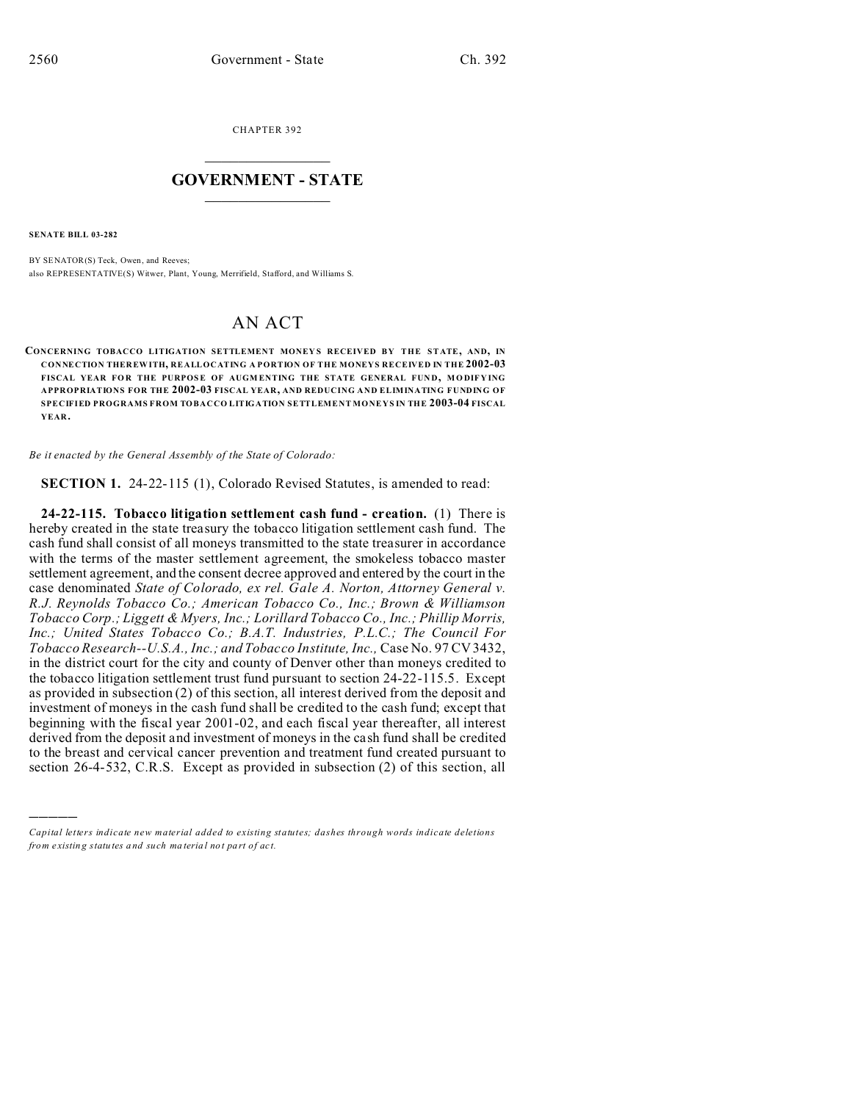CHAPTER 392  $\overline{\phantom{a}}$  , where  $\overline{\phantom{a}}$ 

## **GOVERNMENT - STATE**  $\_$   $\_$

**SENATE BILL 03-282**

)))))

BY SENATOR(S) Teck, Owen, and Reeves; also REPRESENTATIVE(S) Witwer, Plant, Young, Merrifield, Stafford, and Williams S.

## AN ACT

**CONCERNING TOBACCO LITIGATION SETTLEMENT MONEY S RECEIVED BY THE STATE, AND, IN CONNECTION THER EWITH, REALLOCATING A PORTION OF THE MONEYS RECEIVED IN THE 2002-03** FISCAL YEAR FOR THE PURPOSE OF AUGMENTING THE STATE GENERAL FUND, MODIFYING **APPROPRIATIONS FOR THE 2002-03 FISCAL YEAR, AND REDUCING AND ELIMINATING FUNDING OF SPECIFIED PROGRAMS FROM TOBACCO LITIGATION SETTLEMENT MONEYS IN THE 2003-04 FISCAL YEAR.**

*Be it enacted by the General Assembly of the State of Colorado:*

**SECTION 1.** 24-22-115 (1), Colorado Revised Statutes, is amended to read:

**24-22-115. Tobacco litigation settlement cash fund - creation.** (1) There is hereby created in the state treasury the tobacco litigation settlement cash fund. The cash fund shall consist of all moneys transmitted to the state treasurer in accordance with the terms of the master settlement agreement, the smokeless tobacco master settlement agreement, and the consent decree approved and entered by the court in the case denominated *State of Colorado, ex rel. Gale A. Norton, Attorney General v. R.J. Reynolds Tobacco Co.; American Tobacco Co., Inc.; Brown & Williamson Tobacco Corp.; Liggett & Myers, Inc.; Lorillard Tobacco Co., Inc.; Phillip Morris, Inc.; United States Tobacco Co.; B.A.T. Industries, P.L.C.; The Council For Tobacco Research--U.S.A., Inc.; and Tobacco Institute, Inc.,* Case No. 97 CV 3432, in the district court for the city and county of Denver other than moneys credited to the tobacco litigation settlement trust fund pursuant to section 24-22-115.5. Except as provided in subsection (2) of this section, all interest derived from the deposit and investment of moneys in the cash fund shall be credited to the cash fund; except that beginning with the fiscal year 2001-02, and each fiscal year thereafter, all interest derived from the deposit and investment of moneys in the cash fund shall be credited to the breast and cervical cancer prevention and treatment fund created pursuant to section 26-4-532, C.R.S. Except as provided in subsection (2) of this section, all

*Capital letters indicate new material added to existing statutes; dashes through words indicate deletions from e xistin g statu tes a nd such ma teria l no t pa rt of ac t.*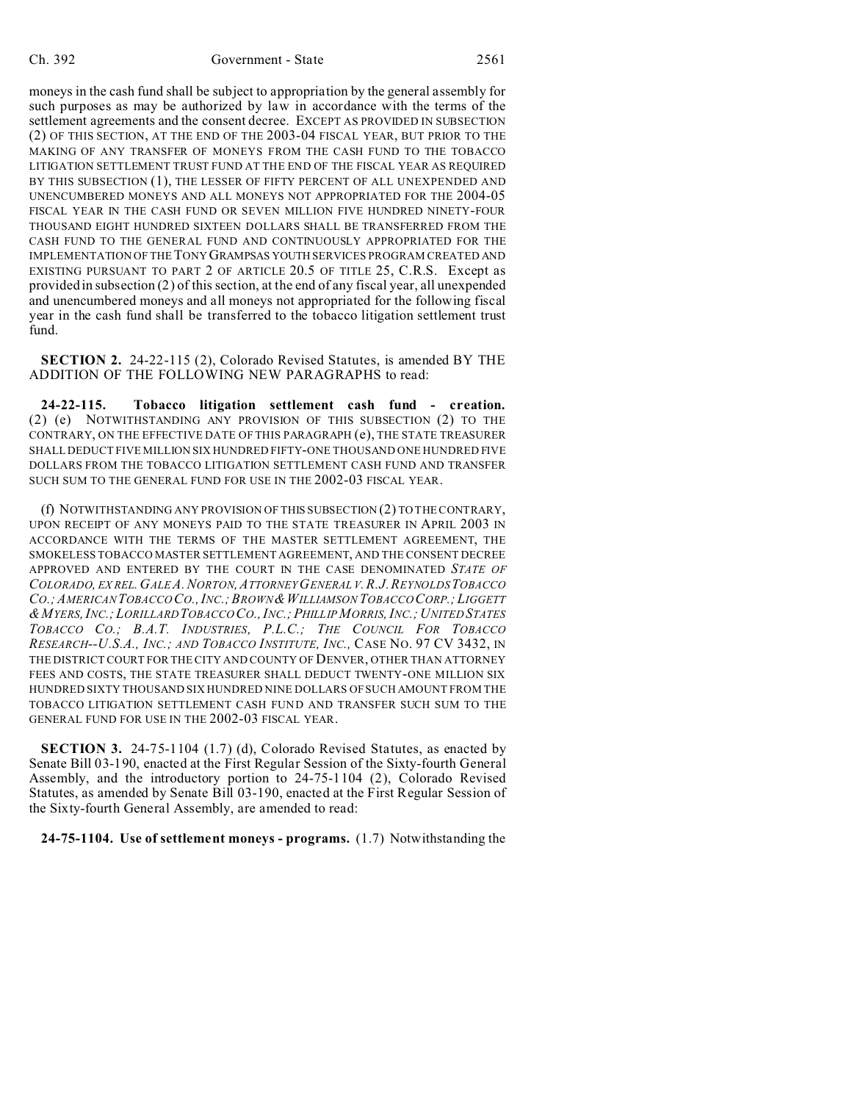moneys in the cash fund shall be subject to appropriation by the general assembly for such purposes as may be authorized by law in accordance with the terms of the settlement agreements and the consent decree. EXCEPT AS PROVIDED IN SUBSECTION (2) OF THIS SECTION, AT THE END OF THE 2003-04 FISCAL YEAR, BUT PRIOR TO THE MAKING OF ANY TRANSFER OF MONEYS FROM THE CASH FUND TO THE TOBACCO LITIGATION SETTLEMENT TRUST FUND AT THE END OF THE FISCAL YEAR AS REQUIRED BY THIS SUBSECTION (1), THE LESSER OF FIFTY PERCENT OF ALL UNEXPENDED AND UNENCUMBERED MONEYS AND ALL MONEYS NOT APPROPRIATED FOR THE 2004-05 FISCAL YEAR IN THE CASH FUND OR SEVEN MILLION FIVE HUNDRED NINETY-FOUR THOUSAND EIGHT HUNDRED SIXTEEN DOLLARS SHALL BE TRANSFERRED FROM THE CASH FUND TO THE GENERAL FUND AND CONTINUOUSLY APPROPRIATED FOR THE IMPLEMENTATION OF THE TONY GRAMPSAS YOUTH SERVICES PROGRAM CREATED AND EXISTING PURSUANT TO PART 2 OF ARTICLE 20.5 OF TITLE 25, C.R.S. Except as provided in subsection (2) of this section, at the end of any fiscal year, all unexpended and unencumbered moneys and all moneys not appropriated for the following fiscal year in the cash fund shall be transferred to the tobacco litigation settlement trust fund.

**SECTION 2.** 24-22-115 (2), Colorado Revised Statutes, is amended BY THE ADDITION OF THE FOLLOWING NEW PARAGRAPHS to read:

**24-22-115. Tobacco litigation settlement cash fund - creation.** (2) (e) NOTWITHSTANDING ANY PROVISION OF THIS SUBSECTION (2) TO THE CONTRARY, ON THE EFFECTIVE DATE OF THIS PARAGRAPH (e), THE STATE TREASURER SHALL DEDUCT FIVE MILLION SIX HUNDRED FIFTY-ONE THOUSAND ONE HUNDRED FIVE DOLLARS FROM THE TOBACCO LITIGATION SETTLEMENT CASH FUND AND TRANSFER SUCH SUM TO THE GENERAL FUND FOR USE IN THE 2002-03 FISCAL YEAR.

(f) NOTWITHSTANDING ANY PROVISION OF THIS SUBSECTION (2) TO THE CONTRARY, UPON RECEIPT OF ANY MONEYS PAID TO THE STATE TREASURER IN APRIL 2003 IN ACCORDANCE WITH THE TERMS OF THE MASTER SETTLEMENT AGREEMENT, THE SMOKELESS TOBACCO MASTER SETTLEMENT AGREEMENT, AND THE CONSENT DECREE APPROVED AND ENTERED BY THE COURT IN THE CASE DENOMINATED *STATE OF COLORADO, EX REL.GALE A.NORTON,ATTORNEY GENERAL V.R.J.REYNOLDSTOBACCO CO.;AMERICAN TOBACCO CO.,INC.;BROWN&WILLIAMSON TOBACCO CORP.; LIGGETT* & MYERS, INC.; LORILLARD TOBACCO CO., INC.; PHILLIP MORRIS, INC.; UNITED STATES *TOBACCO CO.; B.A.T. INDUSTRIES, P.L.C.; THE COUNCIL FOR TOBACCO RESEARCH--U.S.A., INC.; AND TOBACCO INSTITUTE, INC.,* CASE NO. 97 CV 3432, IN THE DISTRICT COURT FOR THE CITY AND COUNTY OF DENVER, OTHER THAN ATTORNEY FEES AND COSTS, THE STATE TREASURER SHALL DEDUCT TWENTY-ONE MILLION SIX HUNDRED SIXTY THOUSAND SIX HUNDRED NINE DOLLARS OF SUCH AMOUNT FROM THE TOBACCO LITIGATION SETTLEMENT CASH FUND AND TRANSFER SUCH SUM TO THE GENERAL FUND FOR USE IN THE 2002-03 FISCAL YEAR.

**SECTION 3.** 24-75-1104 (1.7) (d), Colorado Revised Statutes, as enacted by Senate Bill 03-190, enacted at the First Regular Session of the Sixty-fourth General Assembly, and the introductory portion to 24-75-1104 (2), Colorado Revised Statutes, as amended by Senate Bill 03-190, enacted at the First Regular Session of the Sixty-fourth General Assembly, are amended to read:

**24-75-1104. Use of settlement moneys - programs.** (1.7) Notwithstanding the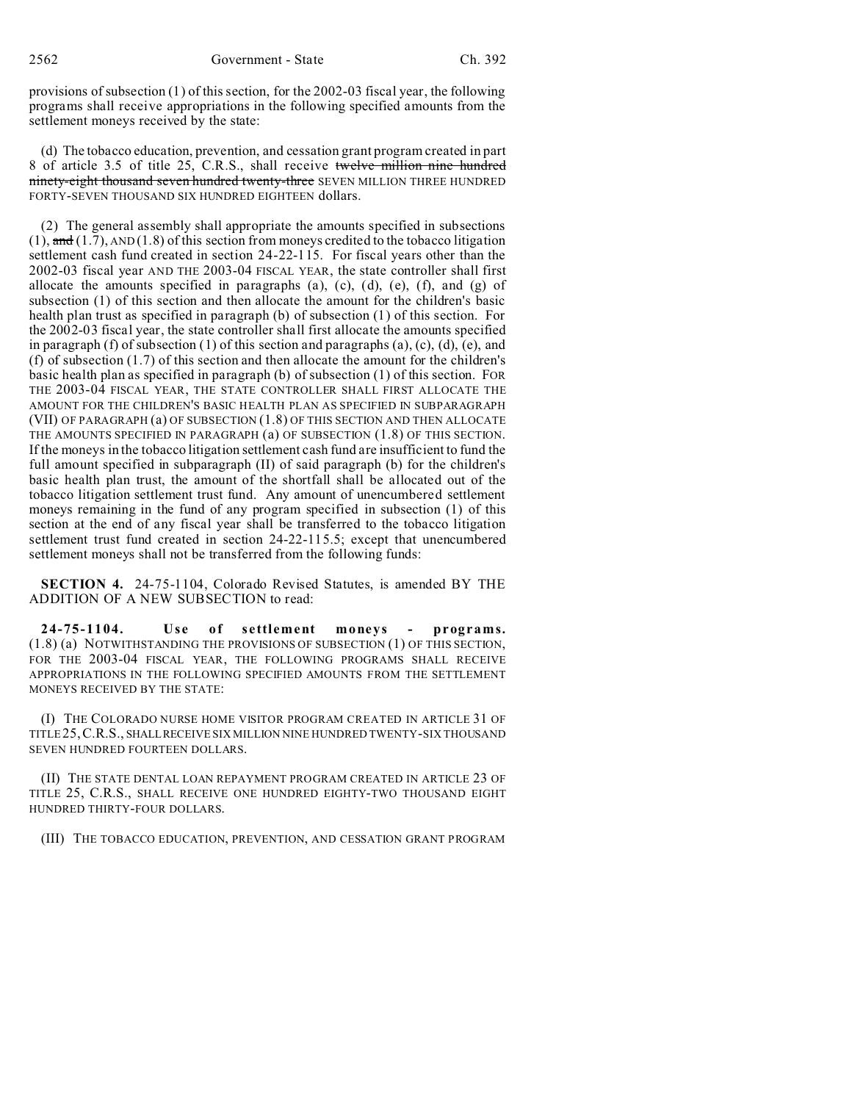provisions of subsection (1) of this section, for the 2002-03 fiscal year, the following programs shall receive appropriations in the following specified amounts from the settlement moneys received by the state:

(d) The tobacco education, prevention, and cessation grant program created in part 8 of article 3.5 of title 25, C.R.S., shall receive twelve million nine hundred ninety-eight thousand seven hundred twenty-three SEVEN MILLION THREE HUNDRED FORTY-SEVEN THOUSAND SIX HUNDRED EIGHTEEN dollars.

(2) The general assembly shall appropriate the amounts specified in subsections  $(1)$ , and  $(1.7)$ , AND  $(1.8)$  of this section from moneys credited to the tobacco litigation settlement cash fund created in section 24-22-115. For fiscal years other than the 2002-03 fiscal year AND THE 2003-04 FISCAL YEAR, the state controller shall first allocate the amounts specified in paragraphs (a), (c), (d), (e), (f), and (g) of subsection (1) of this section and then allocate the amount for the children's basic health plan trust as specified in paragraph (b) of subsection (1) of this section. For the 2002-03 fiscal year, the state controller shall first allocate the amounts specified in paragraph (f) of subsection (1) of this section and paragraphs (a), (c), (d), (e), and (f) of subsection (1.7) of this section and then allocate the amount for the children's basic health plan as specified in paragraph (b) of subsection (1) of this section. FOR THE 2003-04 FISCAL YEAR, THE STATE CONTROLLER SHALL FIRST ALLOCATE THE AMOUNT FOR THE CHILDREN'S BASIC HEALTH PLAN AS SPECIFIED IN SUBPARAGRAPH (VII) OF PARAGRAPH (a) OF SUBSECTION (1.8) OF THIS SECTION AND THEN ALLOCATE THE AMOUNTS SPECIFIED IN PARAGRAPH (a) OF SUBSECTION (1.8) OF THIS SECTION. If the moneys in the tobacco litigation settlement cash fund are insufficient to fund the full amount specified in subparagraph (II) of said paragraph (b) for the children's basic health plan trust, the amount of the shortfall shall be allocated out of the tobacco litigation settlement trust fund. Any amount of unencumbered settlement moneys remaining in the fund of any program specified in subsection (1) of this section at the end of any fiscal year shall be transferred to the tobacco litigation settlement trust fund created in section 24-22-115.5; except that unencumbered settlement moneys shall not be transferred from the following funds:

**SECTION 4.** 24-75-1104, Colorado Revised Statutes, is amended BY THE ADDITION OF A NEW SUBSECTION to read:

**24-75-1104. Use of settlement moneys - programs.** (1.8) (a) NOTWITHSTANDING THE PROVISIONS OF SUBSECTION (1) OF THIS SECTION, FOR THE 2003-04 FISCAL YEAR, THE FOLLOWING PROGRAMS SHALL RECEIVE APPROPRIATIONS IN THE FOLLOWING SPECIFIED AMOUNTS FROM THE SETTLEMENT MONEYS RECEIVED BY THE STATE:

(I) THE COLORADO NURSE HOME VISITOR PROGRAM CREATED IN ARTICLE 31 OF TITLE25,C.R.S., SHALLRECEIVE SIX MILLION NINE HUNDRED TWENTY-SIX THOUSAND SEVEN HUNDRED FOURTEEN DOLLARS.

(II) THE STATE DENTAL LOAN REPAYMENT PROGRAM CREATED IN ARTICLE 23 OF TITLE 25, C.R.S., SHALL RECEIVE ONE HUNDRED EIGHTY-TWO THOUSAND EIGHT HUNDRED THIRTY-FOUR DOLLARS.

(III) THE TOBACCO EDUCATION, PREVENTION, AND CESSATION GRANT PROGRAM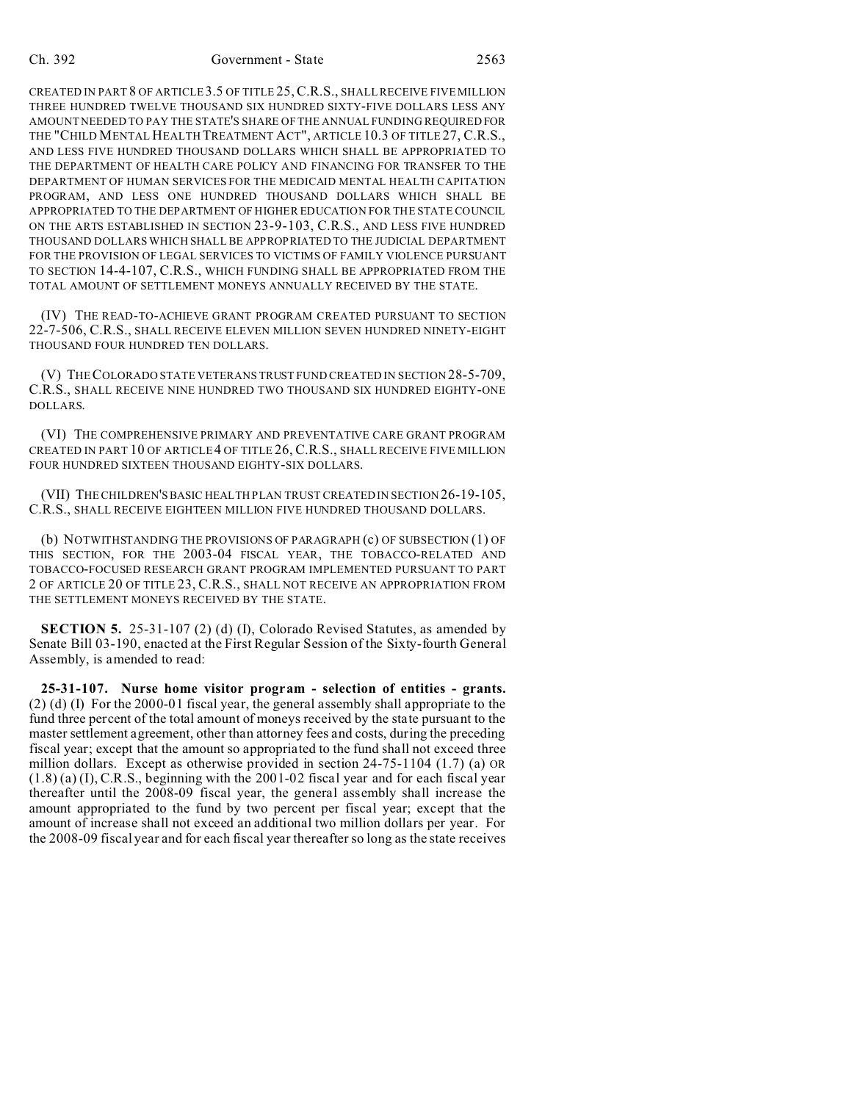CREATED IN PART 8 OF ARTICLE 3.5 OF TITLE 25,C.R.S., SHALL RECEIVE FIVE MILLION THREE HUNDRED TWELVE THOUSAND SIX HUNDRED SIXTY-FIVE DOLLARS LESS ANY AMOUNT NEEDED TO PAY THE STATE'S SHARE OF THE ANNUAL FUNDING REQUIRED FOR THE "CHILD MENTAL HEALTH TREATMENT ACT", ARTICLE 10.3 OF TITLE 27, C.R.S., AND LESS FIVE HUNDRED THOUSAND DOLLARS WHICH SHALL BE APPROPRIATED TO THE DEPARTMENT OF HEALTH CARE POLICY AND FINANCING FOR TRANSFER TO THE DEPARTMENT OF HUMAN SERVICES FOR THE MEDICAID MENTAL HEALTH CAPITATION PROGRAM, AND LESS ONE HUNDRED THOUSAND DOLLARS WHICH SHALL BE APPROPRIATED TO THE DEPARTMENT OF HIGHER EDUCATION FOR THE STATE COUNCIL ON THE ARTS ESTABLISHED IN SECTION 23-9-103, C.R.S., AND LESS FIVE HUNDRED THOUSAND DOLLARS WHICH SHALL BE APPROPRIATED TO THE JUDICIAL DEPARTMENT FOR THE PROVISION OF LEGAL SERVICES TO VICTIMS OF FAMILY VIOLENCE PURSUANT TO SECTION 14-4-107, C.R.S., WHICH FUNDING SHALL BE APPROPRIATED FROM THE TOTAL AMOUNT OF SETTLEMENT MONEYS ANNUALLY RECEIVED BY THE STATE.

(IV) THE READ-TO-ACHIEVE GRANT PROGRAM CREATED PURSUANT TO SECTION 22-7-506, C.R.S., SHALL RECEIVE ELEVEN MILLION SEVEN HUNDRED NINETY-EIGHT THOUSAND FOUR HUNDRED TEN DOLLARS.

(V) THECOLORADO STATE VETERANS TRUST FUND CREATED IN SECTION 28-5-709, C.R.S., SHALL RECEIVE NINE HUNDRED TWO THOUSAND SIX HUNDRED EIGHTY-ONE DOLLARS.

(VI) THE COMPREHENSIVE PRIMARY AND PREVENTATIVE CARE GRANT PROGRAM CREATED IN PART 10 OF ARTICLE4 OF TITLE 26, C.R.S., SHALL RECEIVE FIVE MILLION FOUR HUNDRED SIXTEEN THOUSAND EIGHTY-SIX DOLLARS.

(VII) THE CHILDREN'S BASIC HEALTH PLAN TRUST CREATED IN SECTION 26-19-105, C.R.S., SHALL RECEIVE EIGHTEEN MILLION FIVE HUNDRED THOUSAND DOLLARS.

(b) NOTWITHSTANDING THE PROVISIONS OF PARAGRAPH (c) OF SUBSECTION (1) OF THIS SECTION, FOR THE 2003-04 FISCAL YEAR, THE TOBACCO-RELATED AND TOBACCO-FOCUSED RESEARCH GRANT PROGRAM IMPLEMENTED PURSUANT TO PART 2 OF ARTICLE 20 OF TITLE 23, C.R.S., SHALL NOT RECEIVE AN APPROPRIATION FROM THE SETTLEMENT MONEYS RECEIVED BY THE STATE.

**SECTION 5.** 25-31-107 (2) (d) (I), Colorado Revised Statutes, as amended by Senate Bill 03-190, enacted at the First Regular Session of the Sixty-fourth General Assembly, is amended to read:

**25-31-107. Nurse home visitor program - selection of entities - grants.** (2) (d) (I) For the 2000-01 fiscal year, the general assembly shall appropriate to the fund three percent of the total amount of moneys received by the state pursuant to the master settlement agreement, other than attorney fees and costs, during the preceding fiscal year; except that the amount so appropriated to the fund shall not exceed three million dollars. Except as otherwise provided in section 24-75-1104 (1.7) (a) OR  $(1.8)$  (a) (I), C.R.S., beginning with the 2001-02 fiscal year and for each fiscal year thereafter until the 2008-09 fiscal year, the general assembly shall increase the amount appropriated to the fund by two percent per fiscal year; except that the amount of increase shall not exceed an additional two million dollars per year. For the 2008-09 fiscal year and for each fiscal year thereafter so long as the state receives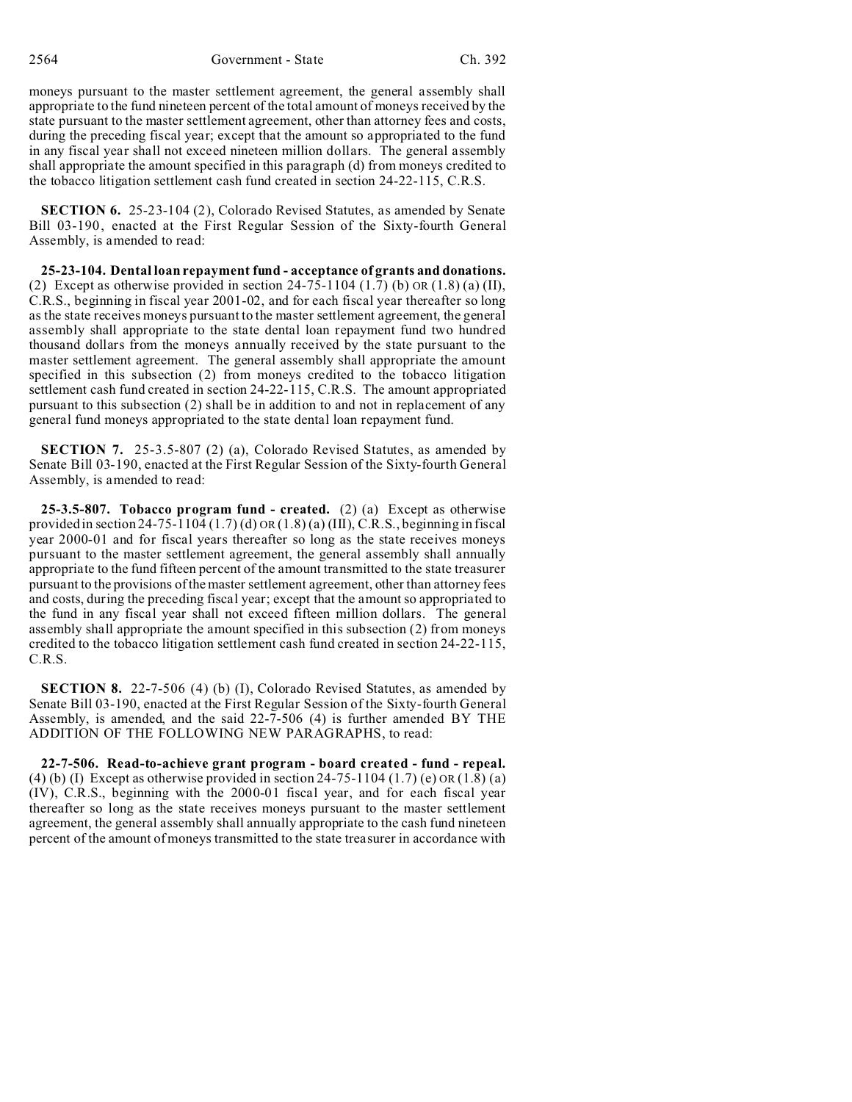moneys pursuant to the master settlement agreement, the general assembly shall appropriate to the fund nineteen percent of the total amount of moneys received by the state pursuant to the master settlement agreement, other than attorney fees and costs, during the preceding fiscal year; except that the amount so appropriated to the fund in any fiscal year shall not exceed nineteen million dollars. The general assembly shall appropriate the amount specified in this paragraph (d) from moneys credited to the tobacco litigation settlement cash fund created in section 24-22-115, C.R.S.

**SECTION 6.** 25-23-104 (2), Colorado Revised Statutes, as amended by Senate Bill 03-190, enacted at the First Regular Session of the Sixty-fourth General Assembly, is amended to read:

**25-23-104. Dental loan repayment fund - acceptance of grants and donations.** (2) Except as otherwise provided in section  $24-75-1104$  (1.7) (b) OR (1.8) (a) (II), C.R.S., beginning in fiscal year 2001-02, and for each fiscal year thereafter so long as the state receives moneys pursuant to the master settlement agreement, the general assembly shall appropriate to the state dental loan repayment fund two hundred thousand dollars from the moneys annually received by the state pursuant to the master settlement agreement. The general assembly shall appropriate the amount specified in this subsection (2) from moneys credited to the tobacco litigation settlement cash fund created in section 24-22-115, C.R.S. The amount appropriated pursuant to this subsection (2) shall be in addition to and not in replacement of any general fund moneys appropriated to the state dental loan repayment fund.

**SECTION 7.** 25-3.5-807 (2) (a), Colorado Revised Statutes, as amended by Senate Bill 03-190, enacted at the First Regular Session of the Sixty-fourth General Assembly, is amended to read:

**25-3.5-807. Tobacco program fund - created.** (2) (a) Except as otherwise provided in section 24-75-1104  $(1.7)$  (d) OR  $(1.8)$  (a)  $(III)$ , C.R.S., beginning in fiscal year 2000-01 and for fiscal years thereafter so long as the state receives moneys pursuant to the master settlement agreement, the general assembly shall annually appropriate to the fund fifteen percent of the amount transmitted to the state treasurer pursuant to the provisions of the master settlement agreement, other than attorney fees and costs, during the preceding fiscal year; except that the amount so appropriated to the fund in any fiscal year shall not exceed fifteen million dollars. The general assembly shall appropriate the amount specified in this subsection (2) from moneys credited to the tobacco litigation settlement cash fund created in section 24-22-115, C.R.S.

**SECTION 8.** 22-7-506 (4) (b) (I), Colorado Revised Statutes, as amended by Senate Bill 03-190, enacted at the First Regular Session of the Sixty-fourth General Assembly, is amended, and the said 22-7-506 (4) is further amended BY THE ADDITION OF THE FOLLOWING NEW PARAGRAPHS, to read:

**22-7-506. Read-to-achieve grant program - board created - fund - repeal.** (4) (b) (I) Except as otherwise provided in section  $24-75-1104$  (1.7) (e) OR (1.8) (a) (IV), C.R.S., beginning with the 2000-01 fiscal year, and for each fiscal year thereafter so long as the state receives moneys pursuant to the master settlement agreement, the general assembly shall annually appropriate to the cash fund nineteen percent of the amount of moneys transmitted to the state treasurer in accordance with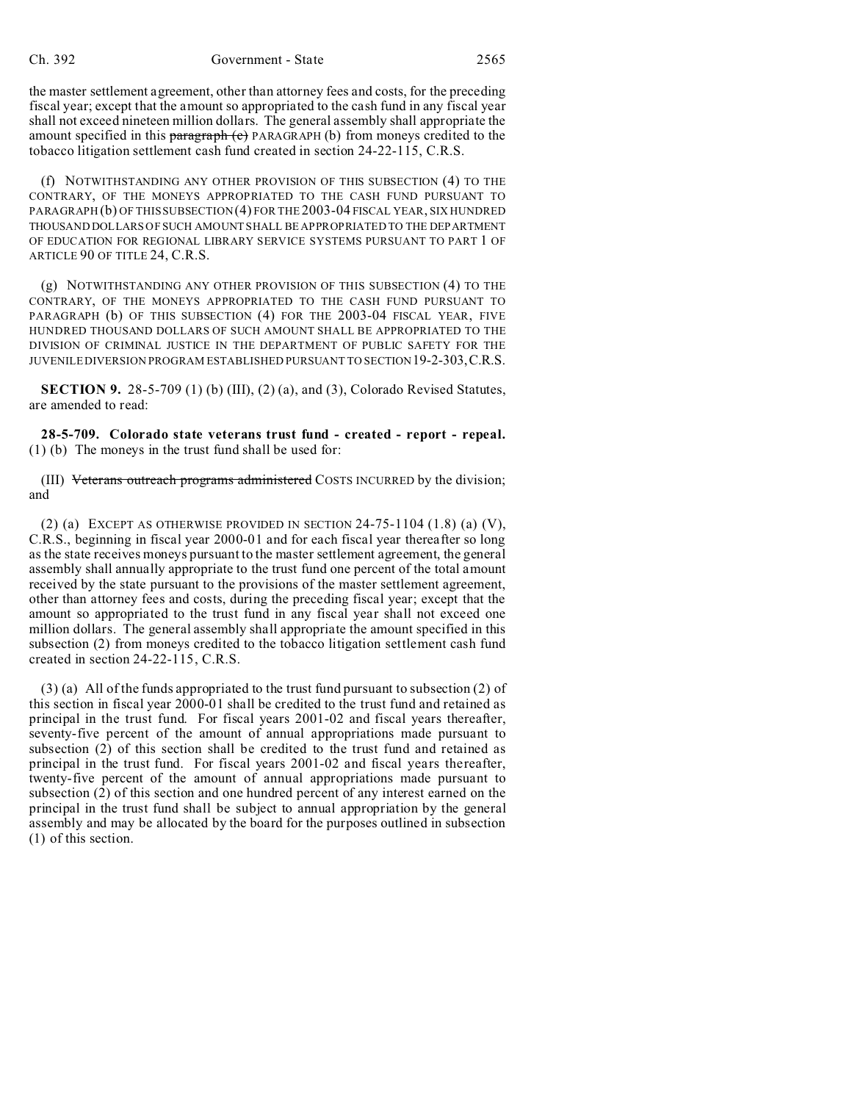the master settlement agreement, other than attorney fees and costs, for the preceding fiscal year; except that the amount so appropriated to the cash fund in any fiscal year shall not exceed nineteen million dollars. The general assembly shall appropriate the amount specified in this **paragraph**  $(c)$  PARAGRAPH (b) from moneys credited to the tobacco litigation settlement cash fund created in section 24-22-115, C.R.S.

(f) NOTWITHSTANDING ANY OTHER PROVISION OF THIS SUBSECTION (4) TO THE CONTRARY, OF THE MONEYS APPROPRIATED TO THE CASH FUND PURSUANT TO PARAGRAPH (b) OF THIS SUBSECTION (4) FOR THE 2003-04 FISCAL YEAR, SIX HUNDRED THOUSAND DOLLARS OF SUCH AMOUNT SHALL BE APPROPRIATED TO THE DEPARTMENT OF EDUCATION FOR REGIONAL LIBRARY SERVICE SYSTEMS PURSUANT TO PART 1 OF ARTICLE 90 OF TITLE 24, C.R.S.

(g) NOTWITHSTANDING ANY OTHER PROVISION OF THIS SUBSECTION (4) TO THE CONTRARY, OF THE MONEYS APPROPRIATED TO THE CASH FUND PURSUANT TO PARAGRAPH (b) OF THIS SUBSECTION (4) FOR THE 2003-04 FISCAL YEAR, FIVE HUNDRED THOUSAND DOLLARS OF SUCH AMOUNT SHALL BE APPROPRIATED TO THE DIVISION OF CRIMINAL JUSTICE IN THE DEPARTMENT OF PUBLIC SAFETY FOR THE JUVENILE DIVERSION PROGRAM ESTABLISHED PURSUANT TO SECTION19-2-303,C.R.S.

**SECTION 9.** 28-5-709 (1) (b) (III), (2) (a), and (3), Colorado Revised Statutes, are amended to read:

**28-5-709. Colorado state veterans trust fund - created - report - repeal.** (1) (b) The moneys in the trust fund shall be used for:

(III) Veterans outreach programs administered COSTS INCURRED by the division; and

(2) (a) EXCEPT AS OTHERWISE PROVIDED IN SECTION  $24-75-1104$  (1.8) (a) (V), C.R.S., beginning in fiscal year 2000-01 and for each fiscal year thereafter so long as the state receives moneys pursuant to the master settlement agreement, the general assembly shall annually appropriate to the trust fund one percent of the total amount received by the state pursuant to the provisions of the master settlement agreement, other than attorney fees and costs, during the preceding fiscal year; except that the amount so appropriated to the trust fund in any fiscal year shall not exceed one million dollars. The general assembly shall appropriate the amount specified in this subsection (2) from moneys credited to the tobacco litigation settlement cash fund created in section 24-22-115, C.R.S.

(3) (a) All of the funds appropriated to the trust fund pursuant to subsection (2) of this section in fiscal year 2000-01 shall be credited to the trust fund and retained as principal in the trust fund. For fiscal years 2001-02 and fiscal years thereafter, seventy-five percent of the amount of annual appropriations made pursuant to subsection (2) of this section shall be credited to the trust fund and retained as principal in the trust fund. For fiscal years 2001-02 and fiscal years thereafter, twenty-five percent of the amount of annual appropriations made pursuant to subsection (2) of this section and one hundred percent of any interest earned on the principal in the trust fund shall be subject to annual appropriation by the general assembly and may be allocated by the board for the purposes outlined in subsection (1) of this section.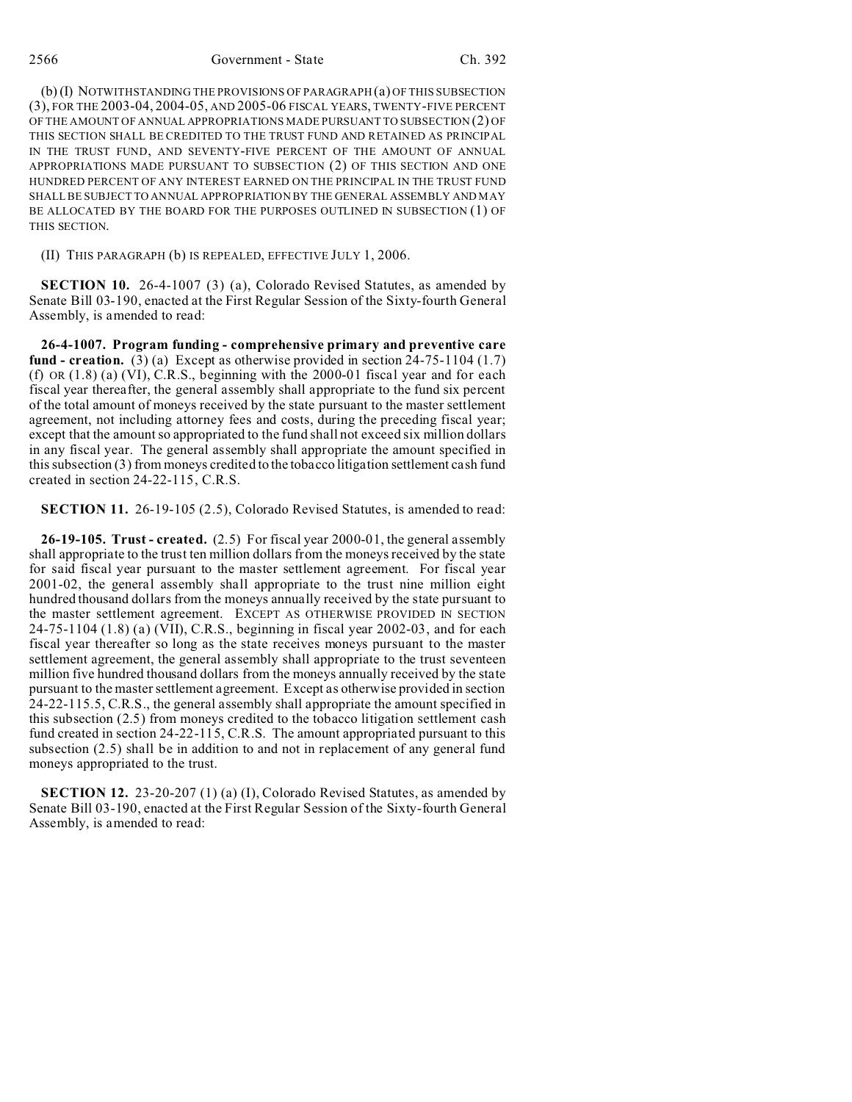2566 Government - State Ch. 392

(b) (I) NOTWITHSTANDING THE PROVISIONS OF PARAGRAPH (a) OF THIS SUBSECTION (3), FOR THE 2003-04, 2004-05, AND 2005-06 FISCAL YEARS, TWENTY-FIVE PERCENT OF THE AMOUNT OF ANNUAL APPROPRIATIONS MADE PURSUANT TO SUBSECTION (2) OF THIS SECTION SHALL BE CREDITED TO THE TRUST FUND AND RETAINED AS PRINCIPAL IN THE TRUST FUND, AND SEVENTY-FIVE PERCENT OF THE AMOUNT OF ANNUAL APPROPRIATIONS MADE PURSUANT TO SUBSECTION (2) OF THIS SECTION AND ONE HUNDRED PERCENT OF ANY INTEREST EARNED ON THE PRINCIPAL IN THE TRUST FUND SHALL BE SUBJECT TO ANNUAL APPROPRIATION BY THE GENERAL ASSEMBLY AND MAY BE ALLOCATED BY THE BOARD FOR THE PURPOSES OUTLINED IN SUBSECTION (1) OF THIS SECTION.

(II) THIS PARAGRAPH (b) IS REPEALED, EFFECTIVE JULY 1, 2006.

**SECTION 10.** 26-4-1007 (3) (a), Colorado Revised Statutes, as amended by Senate Bill 03-190, enacted at the First Regular Session of the Sixty-fourth General Assembly, is amended to read:

**26-4-1007. Program funding - comprehensive primary and preventive care fund - creation.** (3) (a) Except as otherwise provided in section 24-75-1104 (1.7) (f) OR  $(1.8)$   $(a)$   $(VI)$ , C.R.S., beginning with the 2000-01 fiscal year and for each fiscal year thereafter, the general assembly shall appropriate to the fund six percent of the total amount of moneys received by the state pursuant to the master settlement agreement, not including attorney fees and costs, during the preceding fiscal year; except that the amount so appropriated to the fund shall not exceed six million dollars in any fiscal year. The general assembly shall appropriate the amount specified in this subsection (3) from moneys credited to the tobacco litigation settlement cash fund created in section 24-22-115, C.R.S.

**SECTION 11.** 26-19-105 (2.5), Colorado Revised Statutes, is amended to read:

**26-19-105. Trust - created.** (2.5) For fiscal year 2000-01, the general assembly shall appropriate to the trust ten million dollars from the moneys received by the state for said fiscal year pursuant to the master settlement agreement. For fiscal year 2001-02, the general assembly shall appropriate to the trust nine million eight hundred thousand dollars from the moneys annually received by the state pursuant to the master settlement agreement. EXCEPT AS OTHERWISE PROVIDED IN SECTION 24-75-1104 (1.8) (a) (VII), C.R.S., beginning in fiscal year 2002-03, and for each fiscal year thereafter so long as the state receives moneys pursuant to the master settlement agreement, the general assembly shall appropriate to the trust seventeen million five hundred thousand dollars from the moneys annually received by the state pursuant to the master settlement agreement. Except as otherwise provided in section 24-22-115.5, C.R.S., the general assembly shall appropriate the amount specified in this subsection (2.5) from moneys credited to the tobacco litigation settlement cash fund created in section 24-22-115, C.R.S. The amount appropriated pursuant to this subsection (2.5) shall be in addition to and not in replacement of any general fund moneys appropriated to the trust.

**SECTION 12.** 23-20-207 (1) (a) (I), Colorado Revised Statutes, as amended by Senate Bill 03-190, enacted at the First Regular Session of the Sixty-fourth General Assembly, is amended to read: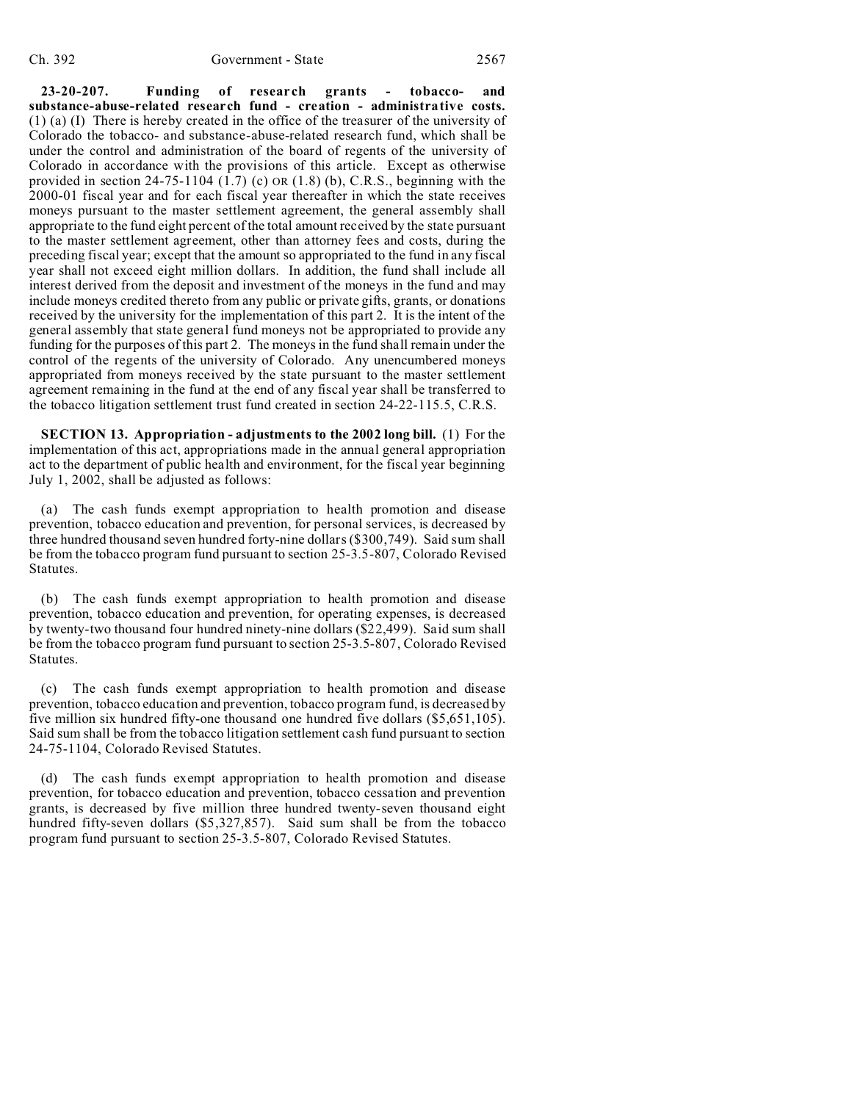**23-20-207. Funding of research grants - tobacco- and substance-abuse-related research fund - creation - administrative costs.** (1) (a) (I) There is hereby created in the office of the treasurer of the university of Colorado the tobacco- and substance-abuse-related research fund, which shall be under the control and administration of the board of regents of the university of Colorado in accordance with the provisions of this article. Except as otherwise provided in section 24-75-1104  $(1.7)$  (c) OR  $(1.8)$  (b), C.R.S., beginning with the 2000-01 fiscal year and for each fiscal year thereafter in which the state receives moneys pursuant to the master settlement agreement, the general assembly shall appropriate to the fund eight percent of the total amount received by the state pursuant to the master settlement agreement, other than attorney fees and costs, during the preceding fiscal year; except that the amount so appropriated to the fund in any fiscal year shall not exceed eight million dollars. In addition, the fund shall include all interest derived from the deposit and investment of the moneys in the fund and may include moneys credited thereto from any public or private gifts, grants, or donations received by the university for the implementation of this part 2. It is the intent of the general assembly that state general fund moneys not be appropriated to provide any funding for the purposes of this part 2. The moneys in the fund shall remain under the control of the regents of the university of Colorado. Any unencumbered moneys appropriated from moneys received by the state pursuant to the master settlement agreement remaining in the fund at the end of any fiscal year shall be transferred to the tobacco litigation settlement trust fund created in section 24-22-115.5, C.R.S.

**SECTION 13. Appropriation - adjustments to the 2002 long bill.** (1) For the implementation of this act, appropriations made in the annual general appropriation act to the department of public health and environment, for the fiscal year beginning July 1, 2002, shall be adjusted as follows:

(a) The cash funds exempt appropriation to health promotion and disease prevention, tobacco education and prevention, for personal services, is decreased by three hundred thousand seven hundred forty-nine dollars (\$300,749). Said sum shall be from the tobacco program fund pursuant to section 25-3.5-807, Colorado Revised Statutes.

(b) The cash funds exempt appropriation to health promotion and disease prevention, tobacco education and prevention, for operating expenses, is decreased by twenty-two thousand four hundred ninety-nine dollars (\$22,499). Said sum shall be from the tobacco program fund pursuant to section 25-3.5-807, Colorado Revised Statutes.

(c) The cash funds exempt appropriation to health promotion and disease prevention, tobacco education and prevention, tobacco program fund, is decreased by five million six hundred fifty-one thousand one hundred five dollars (\$5,651,105). Said sum shall be from the tobacco litigation settlement cash fund pursuant to section 24-75-1104, Colorado Revised Statutes.

(d) The cash funds exempt appropriation to health promotion and disease prevention, for tobacco education and prevention, tobacco cessation and prevention grants, is decreased by five million three hundred twenty-seven thousand eight hundred fifty-seven dollars (\$5,327,857). Said sum shall be from the tobacco program fund pursuant to section 25-3.5-807, Colorado Revised Statutes.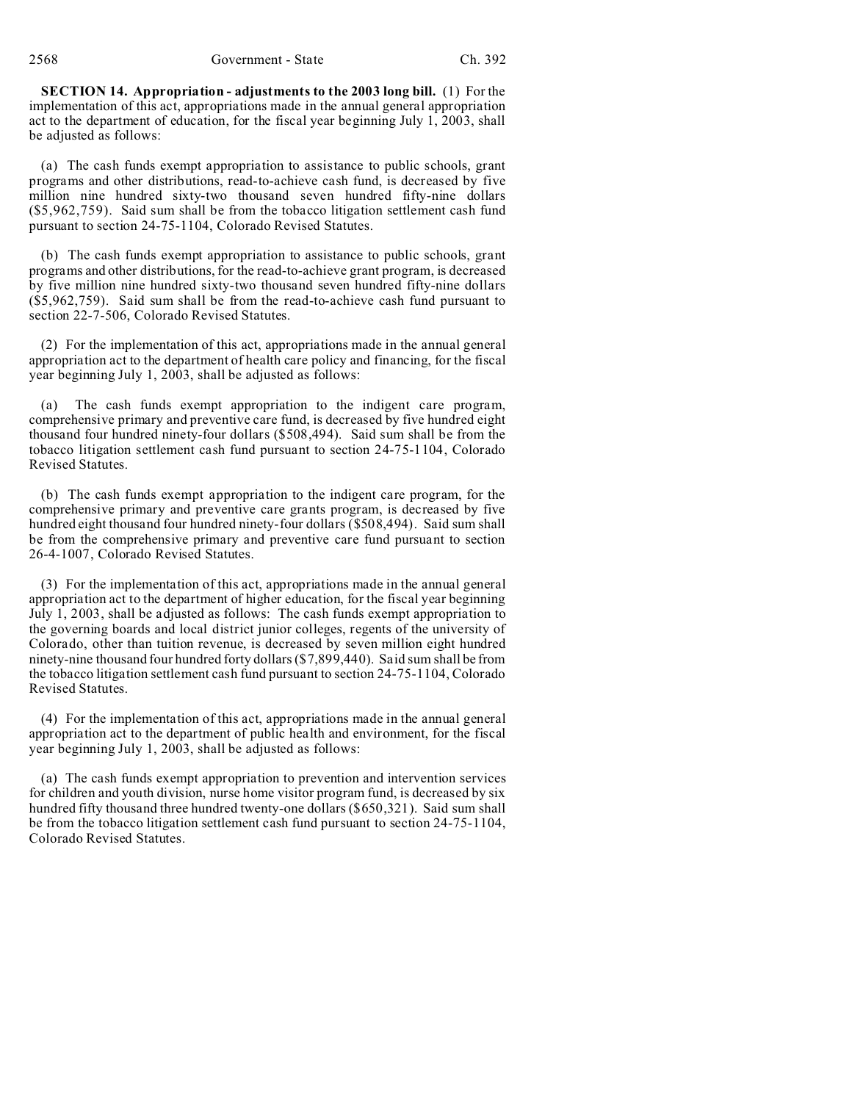**SECTION 14. Appropriation - adjustments to the 2003 long bill.** (1) For the implementation of this act, appropriations made in the annual general appropriation act to the department of education, for the fiscal year beginning July 1, 2003, shall be adjusted as follows:

(a) The cash funds exempt appropriation to assistance to public schools, grant programs and other distributions, read-to-achieve cash fund, is decreased by five million nine hundred sixty-two thousand seven hundred fifty-nine dollars (\$5,962,759). Said sum shall be from the tobacco litigation settlement cash fund pursuant to section 24-75-1104, Colorado Revised Statutes.

(b) The cash funds exempt appropriation to assistance to public schools, grant programs and other distributions, for the read-to-achieve grant program, is decreased by five million nine hundred sixty-two thousand seven hundred fifty-nine dollars (\$5,962,759). Said sum shall be from the read-to-achieve cash fund pursuant to section 22-7-506, Colorado Revised Statutes.

(2) For the implementation of this act, appropriations made in the annual general appropriation act to the department of health care policy and financing, for the fiscal year beginning July 1, 2003, shall be adjusted as follows:

(a) The cash funds exempt appropriation to the indigent care program, comprehensive primary and preventive care fund, is decreased by five hundred eight thousand four hundred ninety-four dollars (\$508,494). Said sum shall be from the tobacco litigation settlement cash fund pursuant to section 24-75-1104, Colorado Revised Statutes.

(b) The cash funds exempt appropriation to the indigent care program, for the comprehensive primary and preventive care grants program, is decreased by five hundred eight thousand four hundred ninety-four dollars (\$508,494). Said sum shall be from the comprehensive primary and preventive care fund pursuant to section 26-4-1007, Colorado Revised Statutes.

(3) For the implementation of this act, appropriations made in the annual general appropriation act to the department of higher education, for the fiscal year beginning July 1, 2003, shall be adjusted as follows: The cash funds exempt appropriation to the governing boards and local district junior colleges, regents of the university of Colorado, other than tuition revenue, is decreased by seven million eight hundred ninety-nine thousand four hundred forty dollars (\$7,899,440). Said sum shall be from the tobacco litigation settlement cash fund pursuant to section 24-75-1104, Colorado Revised Statutes.

(4) For the implementation of this act, appropriations made in the annual general appropriation act to the department of public health and environment, for the fiscal year beginning July 1, 2003, shall be adjusted as follows:

(a) The cash funds exempt appropriation to prevention and intervention services for children and youth division, nurse home visitor program fund, is decreased by six hundred fifty thousand three hundred twenty-one dollars (\$650,321). Said sum shall be from the tobacco litigation settlement cash fund pursuant to section 24-75-1104, Colorado Revised Statutes.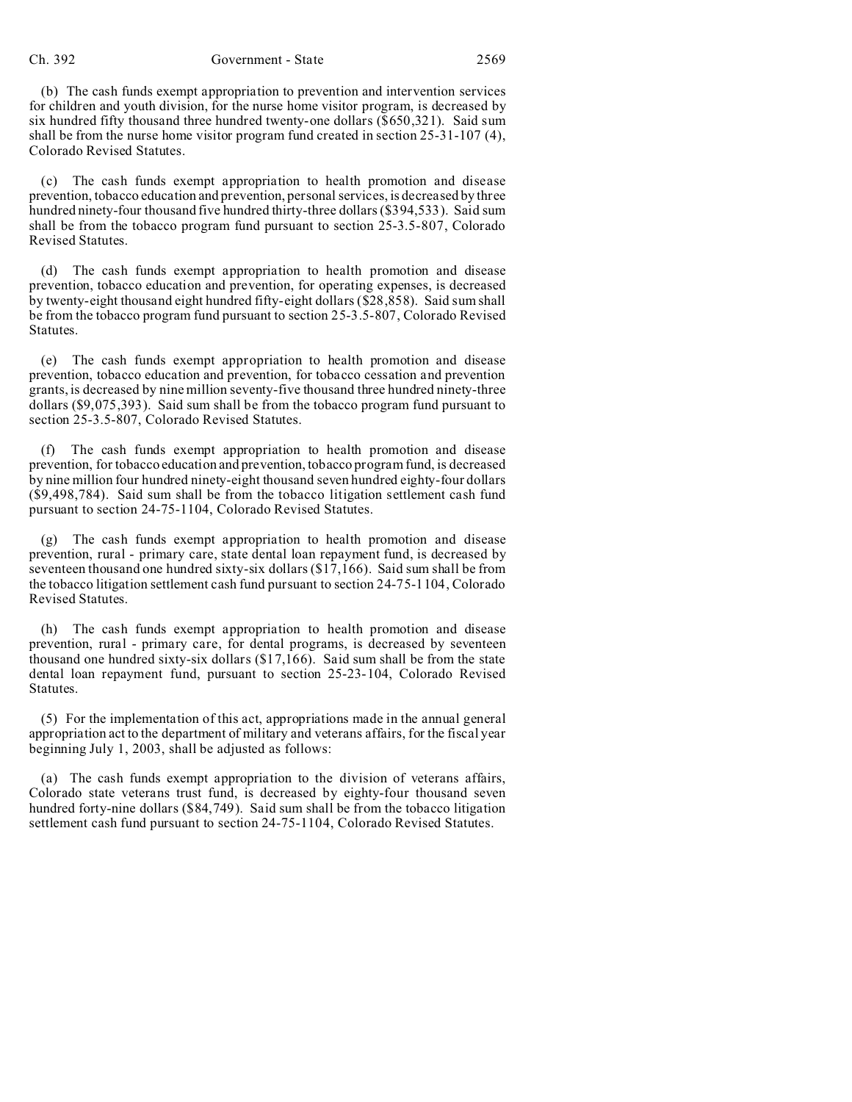(b) The cash funds exempt appropriation to prevention and intervention services for children and youth division, for the nurse home visitor program, is decreased by six hundred fifty thousand three hundred twenty-one dollars (\$650,321). Said sum shall be from the nurse home visitor program fund created in section 25-31-107 (4), Colorado Revised Statutes.

(c) The cash funds exempt appropriation to health promotion and disease prevention, tobacco education and prevention, personal services, is decreased by three hundred ninety-four thousand five hundred thirty-three dollars (\$394,533). Said sum shall be from the tobacco program fund pursuant to section 25-3.5-807, Colorado Revised Statutes.

(d) The cash funds exempt appropriation to health promotion and disease prevention, tobacco education and prevention, for operating expenses, is decreased by twenty-eight thousand eight hundred fifty-eight dollars ( $\sqrt{28,858}$ ). Said sum shall be from the tobacco program fund pursuant to section 25-3.5-807, Colorado Revised Statutes.

(e) The cash funds exempt appropriation to health promotion and disease prevention, tobacco education and prevention, for tobacco cessation and prevention grants, is decreased by nine million seventy-five thousand three hundred ninety-three dollars (\$9,075,393). Said sum shall be from the tobacco program fund pursuant to section 25-3.5-807, Colorado Revised Statutes.

(f) The cash funds exempt appropriation to health promotion and disease prevention, for tobacco education and prevention, tobacco program fund, is decreased by nine million four hundred ninety-eight thousand seven hundred eighty-four dollars (\$9,498,784). Said sum shall be from the tobacco litigation settlement cash fund pursuant to section 24-75-1104, Colorado Revised Statutes.

(g) The cash funds exempt appropriation to health promotion and disease prevention, rural - primary care, state dental loan repayment fund, is decreased by seventeen thousand one hundred sixty-six dollars (\$17,166). Said sum shall be from the tobacco litigation settlement cash fund pursuant to section 24-75-1104, Colorado Revised Statutes.

(h) The cash funds exempt appropriation to health promotion and disease prevention, rural - primary care, for dental programs, is decreased by seventeen thousand one hundred sixty-six dollars (\$17,166). Said sum shall be from the state dental loan repayment fund, pursuant to section 25-23-104, Colorado Revised Statutes.

(5) For the implementation of this act, appropriations made in the annual general appropriation act to the department of military and veterans affairs, for the fiscal year beginning July 1, 2003, shall be adjusted as follows:

(a) The cash funds exempt appropriation to the division of veterans affairs, Colorado state veterans trust fund, is decreased by eighty-four thousand seven hundred forty-nine dollars (\$84,749). Said sum shall be from the tobacco litigation settlement cash fund pursuant to section 24-75-1104, Colorado Revised Statutes.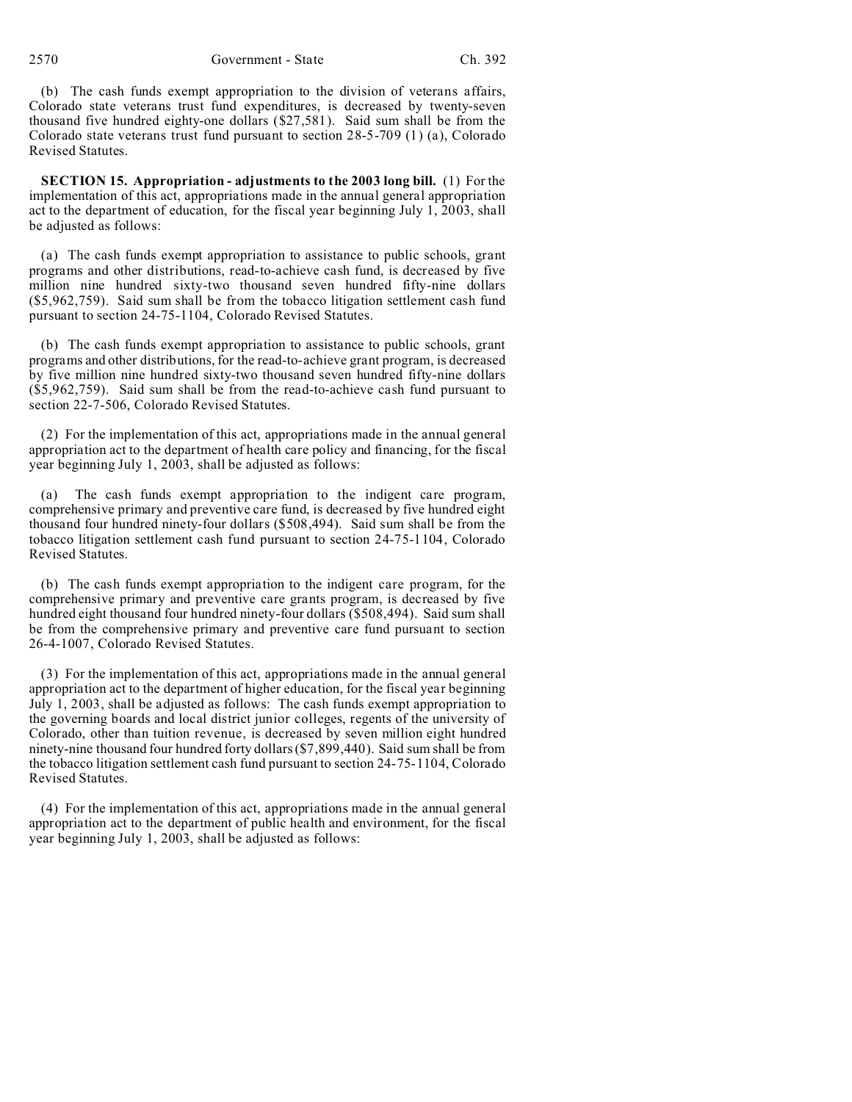(b) The cash funds exempt appropriation to the division of veterans affairs, Colorado state veterans trust fund expenditures, is decreased by twenty-seven thousand five hundred eighty-one dollars (\$27,581). Said sum shall be from the Colorado state veterans trust fund pursuant to section 28-5-709 (1) (a), Colorado Revised Statutes.

**SECTION 15. Appropriation - adjustments to the 2003 long bill.** (1) For the implementation of this act, appropriations made in the annual general appropriation act to the department of education, for the fiscal year beginning July 1, 2003, shall be adjusted as follows:

(a) The cash funds exempt appropriation to assistance to public schools, grant programs and other distributions, read-to-achieve cash fund, is decreased by five million nine hundred sixty-two thousand seven hundred fifty-nine dollars (\$5,962,759). Said sum shall be from the tobacco litigation settlement cash fund pursuant to section 24-75-1104, Colorado Revised Statutes.

(b) The cash funds exempt appropriation to assistance to public schools, grant programs and other distributions, for the read-to-achieve grant program, is decreased by five million nine hundred sixty-two thousand seven hundred fifty-nine dollars (\$5,962,759). Said sum shall be from the read-to-achieve cash fund pursuant to section 22-7-506, Colorado Revised Statutes.

(2) For the implementation of this act, appropriations made in the annual general appropriation act to the department of health care policy and financing, for the fiscal year beginning July 1, 2003, shall be adjusted as follows:

The cash funds exempt appropriation to the indigent care program, comprehensive primary and preventive care fund, is decreased by five hundred eight thousand four hundred ninety-four dollars (\$508,494). Said sum shall be from the tobacco litigation settlement cash fund pursuant to section 24-75-1104, Colorado Revised Statutes.

(b) The cash funds exempt appropriation to the indigent care program, for the comprehensive primary and preventive care grants program, is decreased by five hundred eight thousand four hundred ninety-four dollars (\$508,494). Said sum shall be from the comprehensive primary and preventive care fund pursuant to section 26-4-1007, Colorado Revised Statutes.

(3) For the implementation of this act, appropriations made in the annual general appropriation act to the department of higher education, for the fiscal year beginning July 1, 2003, shall be adjusted as follows: The cash funds exempt appropriation to the governing boards and local district junior colleges, regents of the university of Colorado, other than tuition revenue, is decreased by seven million eight hundred ninety-nine thousand four hundred forty dollars (\$7,899,440). Said sum shall be from the tobacco litigation settlement cash fund pursuant to section 24-75-1104, Colorado Revised Statutes.

(4) For the implementation of this act, appropriations made in the annual general appropriation act to the department of public health and environment, for the fiscal year beginning July 1, 2003, shall be adjusted as follows: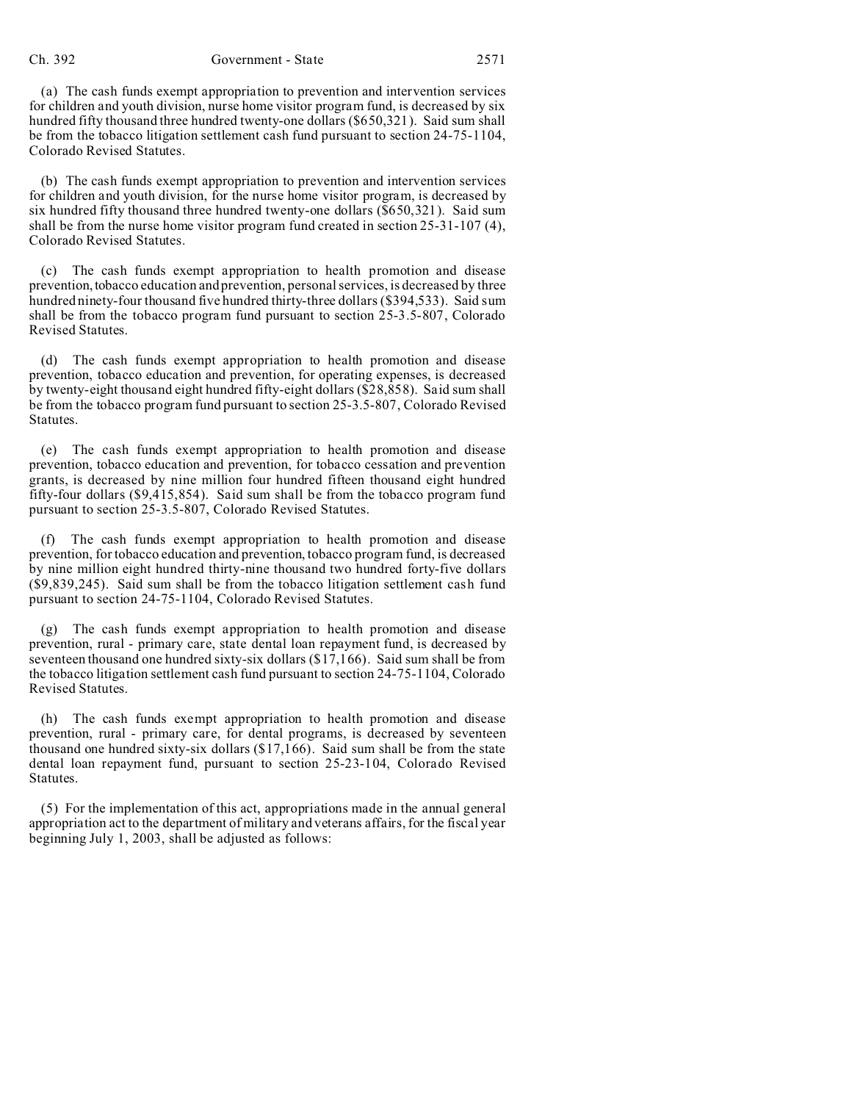(a) The cash funds exempt appropriation to prevention and intervention services for children and youth division, nurse home visitor program fund, is decreased by six hundred fifty thousand three hundred twenty-one dollars (\$650,321). Said sum shall be from the tobacco litigation settlement cash fund pursuant to section 24-75-1104, Colorado Revised Statutes.

(b) The cash funds exempt appropriation to prevention and intervention services for children and youth division, for the nurse home visitor program, is decreased by six hundred fifty thousand three hundred twenty-one dollars (\$650,321). Said sum shall be from the nurse home visitor program fund created in section 25-31-107 (4), Colorado Revised Statutes.

(c) The cash funds exempt appropriation to health promotion and disease prevention,tobacco education and prevention, personal services, is decreased by three hundred ninety-four thousand five hundred thirty-three dollars (\$394,533). Said sum shall be from the tobacco program fund pursuant to section 25-3.5-807, Colorado Revised Statutes.

(d) The cash funds exempt appropriation to health promotion and disease prevention, tobacco education and prevention, for operating expenses, is decreased by twenty-eight thousand eight hundred fifty-eight dollars (\$28,858). Said sum shall be from the tobacco program fund pursuant to section 25-3.5-807, Colorado Revised Statutes.

(e) The cash funds exempt appropriation to health promotion and disease prevention, tobacco education and prevention, for tobacco cessation and prevention grants, is decreased by nine million four hundred fifteen thousand eight hundred fifty-four dollars (\$9,415,854). Said sum shall be from the tobacco program fund pursuant to section 25-3.5-807, Colorado Revised Statutes.

The cash funds exempt appropriation to health promotion and disease prevention, for tobacco education and prevention, tobacco program fund, is decreased by nine million eight hundred thirty-nine thousand two hundred forty-five dollars (\$9,839,245). Said sum shall be from the tobacco litigation settlement cash fund pursuant to section 24-75-1104, Colorado Revised Statutes.

(g) The cash funds exempt appropriation to health promotion and disease prevention, rural - primary care, state dental loan repayment fund, is decreased by seventeen thousand one hundred sixty-six dollars (\$17,166). Said sum shall be from the tobacco litigation settlement cash fund pursuant to section 24-75-1104, Colorado Revised Statutes.

(h) The cash funds exempt appropriation to health promotion and disease prevention, rural - primary care, for dental programs, is decreased by seventeen thousand one hundred sixty-six dollars (\$17,166). Said sum shall be from the state dental loan repayment fund, pursuant to section 25-23-104, Colorado Revised Statutes.

(5) For the implementation of this act, appropriations made in the annual general appropriation act to the department of military and veterans affairs, for the fiscal year beginning July 1, 2003, shall be adjusted as follows: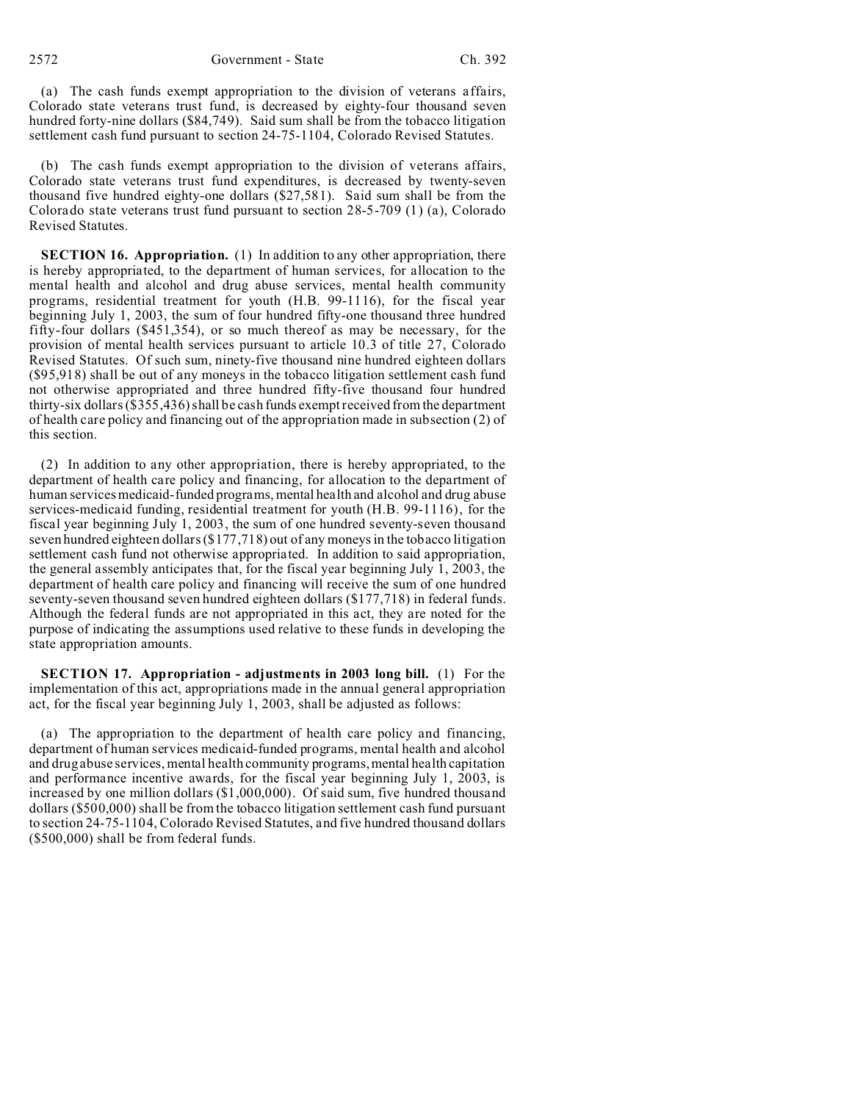(a) The cash funds exempt appropriation to the division of veterans affairs, Colorado state veterans trust fund, is decreased by eighty-four thousand seven hundred forty-nine dollars (\$84,749). Said sum shall be from the tobacco litigation settlement cash fund pursuant to section 24-75-1104, Colorado Revised Statutes.

(b) The cash funds exempt appropriation to the division of veterans affairs, Colorado state veterans trust fund expenditures, is decreased by twenty-seven thousand five hundred eighty-one dollars (\$27,581). Said sum shall be from the Colorado state veterans trust fund pursuant to section 28-5-709 (1) (a), Colorado Revised Statutes.

**SECTION 16. Appropriation.** (1) In addition to any other appropriation, there is hereby appropriated, to the department of human services, for allocation to the mental health and alcohol and drug abuse services, mental health community programs, residential treatment for youth (H.B. 99-1116), for the fiscal year beginning July 1, 2003, the sum of four hundred fifty-one thousand three hundred fifty-four dollars (\$451,354), or so much thereof as may be necessary, for the provision of mental health services pursuant to article 10.3 of title 27, Colorado Revised Statutes. Of such sum, ninety-five thousand nine hundred eighteen dollars (\$95,918) shall be out of any moneys in the tobacco litigation settlement cash fund not otherwise appropriated and three hundred fifty-five thousand four hundred thirty-six dollars  $(s355,436)$  shall be cash funds exempt received from the department of health care policy and financing out of the appropriation made in subsection (2) of this section.

(2) In addition to any other appropriation, there is hereby appropriated, to the department of health care policy and financing, for allocation to the department of human services medicaid-funded programs, mental health and alcohol and drug abuse services-medicaid funding, residential treatment for youth (H.B. 99-1116), for the fiscal year beginning July 1, 2003, the sum of one hundred seventy-seven thousand seven hundred eighteen dollars (\$177,718) out of any moneys in the tobacco litigation settlement cash fund not otherwise appropriated. In addition to said appropriation, the general assembly anticipates that, for the fiscal year beginning July 1, 2003, the department of health care policy and financing will receive the sum of one hundred seventy-seven thousand seven hundred eighteen dollars (\$177,718) in federal funds. Although the federal funds are not appropriated in this act, they are noted for the purpose of indicating the assumptions used relative to these funds in developing the state appropriation amounts.

**SECTION 17. Appropriation - adjustments in 2003 long bill.** (1) For the implementation of this act, appropriations made in the annual general appropriation act, for the fiscal year beginning July 1, 2003, shall be adjusted as follows:

(a) The appropriation to the department of health care policy and financing, department of human services medicaid-funded programs, mental health and alcohol and drug abuse services, mental health community programs, mental health capitation and performance incentive awards, for the fiscal year beginning July 1, 2003, is increased by one million dollars (\$1,000,000). Of said sum, five hundred thousand dollars (\$500,000) shall be from the tobacco litigation settlement cash fund pursuant to section 24-75-1104, Colorado Revised Statutes, and five hundred thousand dollars (\$500,000) shall be from federal funds.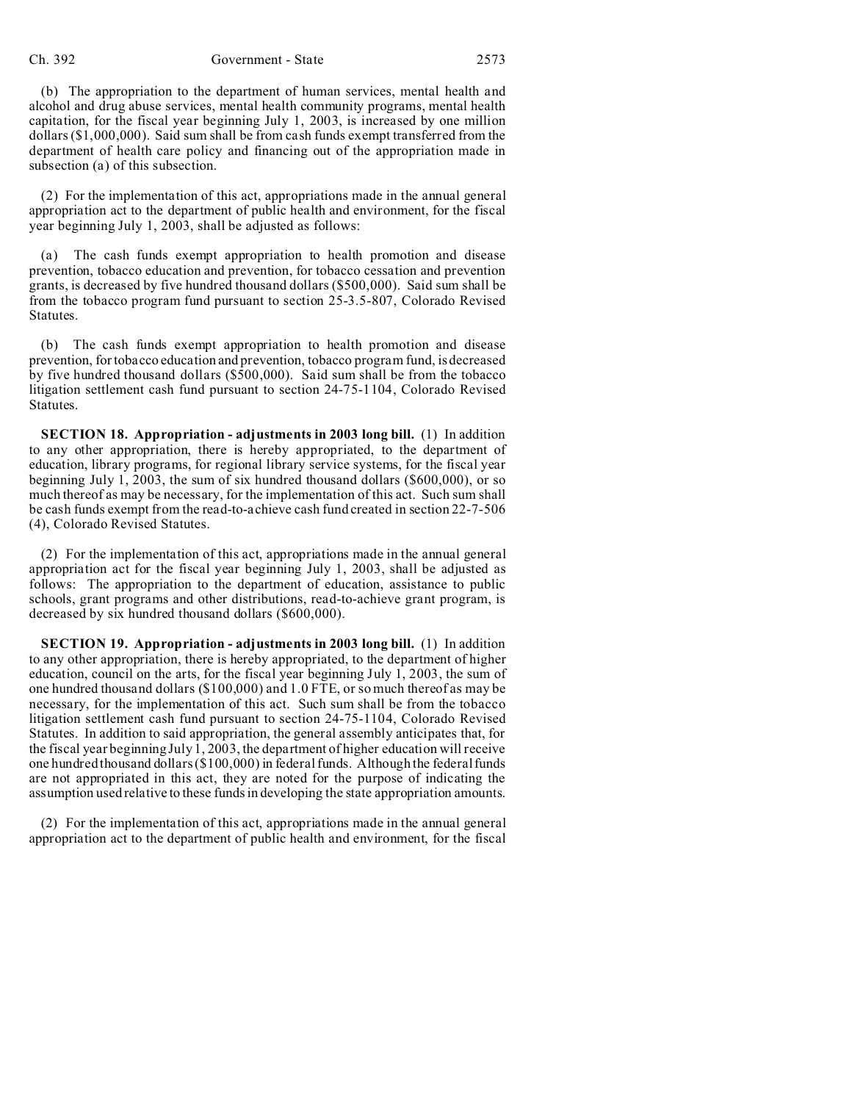## Ch. 392 Government - State 2573

(b) The appropriation to the department of human services, mental health and alcohol and drug abuse services, mental health community programs, mental health capitation, for the fiscal year beginning July 1, 2003, is increased by one million dollars (\$1,000,000). Said sum shall be from cash funds exempt transferred from the department of health care policy and financing out of the appropriation made in subsection (a) of this subsection.

(2) For the implementation of this act, appropriations made in the annual general appropriation act to the department of public health and environment, for the fiscal year beginning July 1, 2003, shall be adjusted as follows:

(a) The cash funds exempt appropriation to health promotion and disease prevention, tobacco education and prevention, for tobacco cessation and prevention grants, is decreased by five hundred thousand dollars (\$500,000). Said sum shall be from the tobacco program fund pursuant to section 25-3.5-807, Colorado Revised Statutes.

(b) The cash funds exempt appropriation to health promotion and disease prevention, for tobacco education and prevention, tobacco program fund, is decreased by five hundred thousand dollars (\$500,000). Said sum shall be from the tobacco litigation settlement cash fund pursuant to section 24-75-1104, Colorado Revised Statutes.

**SECTION 18. Appropriation - adjustments in 2003 long bill.** (1) In addition to any other appropriation, there is hereby appropriated, to the department of education, library programs, for regional library service systems, for the fiscal year beginning July 1, 2003, the sum of six hundred thousand dollars (\$600,000), or so much thereof as may be necessary, for the implementation of this act. Such sum shall be cash funds exempt from the read-to-achieve cash fund created in section 22-7-506 (4), Colorado Revised Statutes.

(2) For the implementation of this act, appropriations made in the annual general appropriation act for the fiscal year beginning July 1, 2003, shall be adjusted as follows: The appropriation to the department of education, assistance to public schools, grant programs and other distributions, read-to-achieve grant program, is decreased by six hundred thousand dollars (\$600,000).

**SECTION 19. Appropriation - adjustments in 2003 long bill.** (1) In addition to any other appropriation, there is hereby appropriated, to the department of higher education, council on the arts, for the fiscal year beginning July 1, 2003, the sum of one hundred thousand dollars (\$100,000) and 1.0 FTE, or so much thereof as may be necessary, for the implementation of this act. Such sum shall be from the tobacco litigation settlement cash fund pursuant to section 24-75-1104, Colorado Revised Statutes. In addition to said appropriation, the general assembly anticipates that, for the fiscal year beginning July 1, 2003, the department of higher education will receive one hundred thousand dollars (\$100,000) in federal funds. Although the federal funds are not appropriated in this act, they are noted for the purpose of indicating the assumption used relative to these funds in developing the state appropriation amounts.

(2) For the implementation of this act, appropriations made in the annual general appropriation act to the department of public health and environment, for the fiscal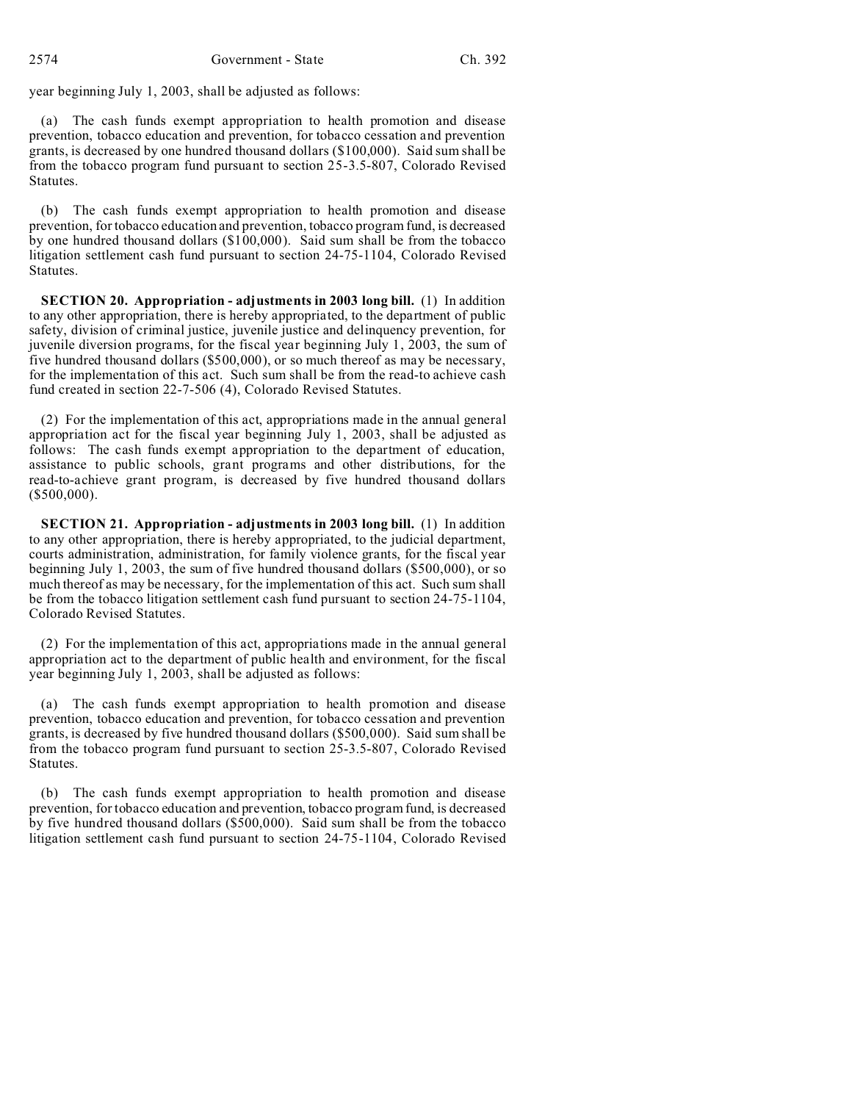year beginning July 1, 2003, shall be adjusted as follows:

(a) The cash funds exempt appropriation to health promotion and disease prevention, tobacco education and prevention, for tobacco cessation and prevention grants, is decreased by one hundred thousand dollars (\$100,000). Said sum shall be from the tobacco program fund pursuant to section 25-3.5-807, Colorado Revised Statutes.

(b) The cash funds exempt appropriation to health promotion and disease prevention, for tobacco education and prevention, tobacco program fund, is decreased by one hundred thousand dollars (\$100,000). Said sum shall be from the tobacco litigation settlement cash fund pursuant to section 24-75-1104, Colorado Revised Statutes.

**SECTION 20. Appropriation - adjustments in 2003 long bill.** (1) In addition to any other appropriation, there is hereby appropriated, to the department of public safety, division of criminal justice, juvenile justice and delinquency prevention, for juvenile diversion programs, for the fiscal year beginning July 1, 2003, the sum of five hundred thousand dollars (\$500,000), or so much thereof as may be necessary, for the implementation of this act. Such sum shall be from the read-to achieve cash fund created in section 22-7-506 (4), Colorado Revised Statutes.

(2) For the implementation of this act, appropriations made in the annual general appropriation act for the fiscal year beginning July 1, 2003, shall be adjusted as follows: The cash funds exempt appropriation to the department of education, assistance to public schools, grant programs and other distributions, for the read-to-achieve grant program, is decreased by five hundred thousand dollars (\$500,000).

**SECTION 21. Appropriation - adjustments in 2003 long bill.** (1) In addition to any other appropriation, there is hereby appropriated, to the judicial department, courts administration, administration, for family violence grants, for the fiscal year beginning July 1, 2003, the sum of five hundred thousand dollars (\$500,000), or so much thereof as may be necessary, for the implementation of this act. Such sum shall be from the tobacco litigation settlement cash fund pursuant to section 24-75-1104, Colorado Revised Statutes.

(2) For the implementation of this act, appropriations made in the annual general appropriation act to the department of public health and environment, for the fiscal year beginning July 1, 2003, shall be adjusted as follows:

(a) The cash funds exempt appropriation to health promotion and disease prevention, tobacco education and prevention, for tobacco cessation and prevention grants, is decreased by five hundred thousand dollars (\$500,000). Said sum shall be from the tobacco program fund pursuant to section 25-3.5-807, Colorado Revised Statutes.

(b) The cash funds exempt appropriation to health promotion and disease prevention, for tobacco education and prevention, tobacco program fund, is decreased by five hundred thousand dollars (\$500,000). Said sum shall be from the tobacco litigation settlement cash fund pursuant to section 24-75-1104, Colorado Revised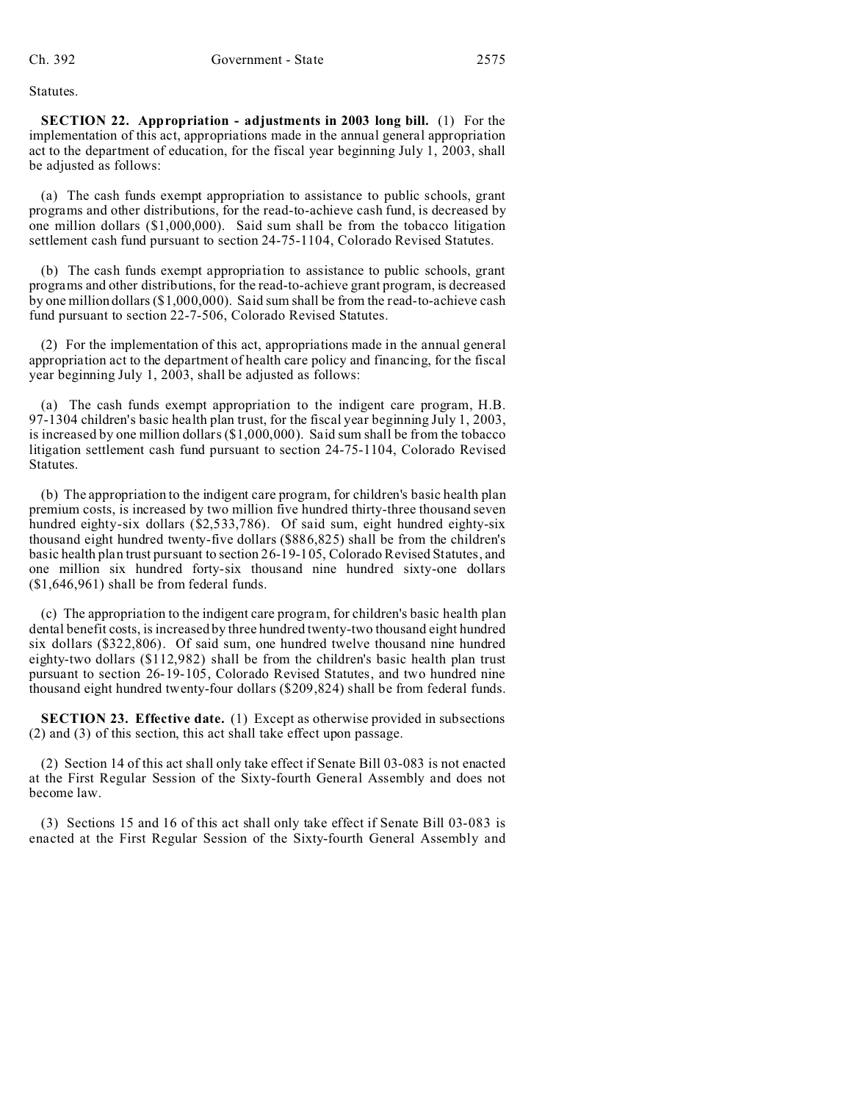Statutes.

**SECTION 22.** Appropriation - adjustments in 2003 long bill. (1) For the implementation of this act, appropriations made in the annual general appropriation act to the department of education, for the fiscal year beginning July 1, 2003, shall be adjusted as follows:

(a) The cash funds exempt appropriation to assistance to public schools, grant programs and other distributions, for the read-to-achieve cash fund, is decreased by one million dollars (\$1,000,000). Said sum shall be from the tobacco litigation settlement cash fund pursuant to section 24-75-1104, Colorado Revised Statutes.

(b) The cash funds exempt appropriation to assistance to public schools, grant programs and other distributions, for the read-to-achieve grant program, is decreased by one million dollars (\$1,000,000). Said sum shall be from the read-to-achieve cash fund pursuant to section 22-7-506, Colorado Revised Statutes.

(2) For the implementation of this act, appropriations made in the annual general appropriation act to the department of health care policy and financing, for the fiscal year beginning July 1, 2003, shall be adjusted as follows:

(a) The cash funds exempt appropriation to the indigent care program, H.B. 97-1304 children's basic health plan trust, for the fiscal year beginning July 1, 2003, is increased by one million dollars (\$1,000,000). Said sum shall be from the tobacco litigation settlement cash fund pursuant to section 24-75-1104, Colorado Revised Statutes.

(b) The appropriation to the indigent care program, for children's basic health plan premium costs, is increased by two million five hundred thirty-three thousand seven hundred eighty-six dollars (\$2,533,786). Of said sum, eight hundred eighty-six thousand eight hundred twenty-five dollars (\$886,825) shall be from the children's basic health plan trust pursuant to section 26-19-105, Colorado Revised Statutes, and one million six hundred forty-six thousand nine hundred sixty-one dollars (\$1,646,961) shall be from federal funds.

(c) The appropriation to the indigent care program, for children's basic health plan dental benefit costs, is increased by three hundred twenty-two thousand eight hundred six dollars (\$322,806). Of said sum, one hundred twelve thousand nine hundred eighty-two dollars (\$112,982) shall be from the children's basic health plan trust pursuant to section 26-19-105, Colorado Revised Statutes, and two hundred nine thousand eight hundred twenty-four dollars (\$209,824) shall be from federal funds.

**SECTION 23. Effective date.** (1) Except as otherwise provided in subsections (2) and (3) of this section, this act shall take effect upon passage.

(2) Section 14 of this act shall only take effect if Senate Bill 03-083 is not enacted at the First Regular Session of the Sixty-fourth General Assembly and does not become law.

(3) Sections 15 and 16 of this act shall only take effect if Senate Bill 03-083 is enacted at the First Regular Session of the Sixty-fourth General Assembly and